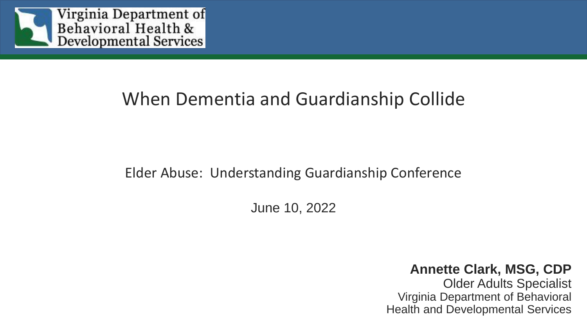

### When Dementia and Guardianship Collide

#### Elder Abuse: Understanding Guardianship Conference

June 10, 2022

**Annette Clark, MSG, CDP** Older Adults Specialist Virginia Department of Behavioral Health and Developmental Services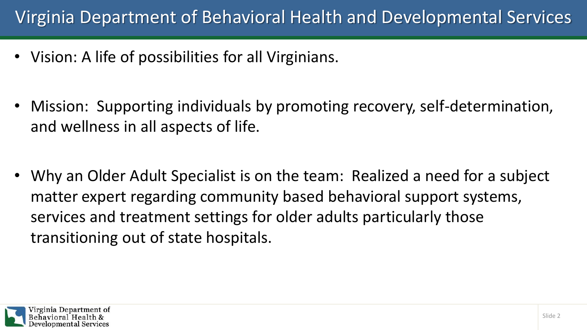### Virginia Department of Behavioral Health and Developmental Services

- Vision: A life of possibilities for all Virginians.
- Mission: Supporting individuals by promoting recovery, self-determination, and wellness in all aspects of life.
- Why an Older Adult Specialist is on the team: Realized a need for a subject matter expert regarding community based behavioral support systems, services and treatment settings for older adults particularly those transitioning out of state hospitals.

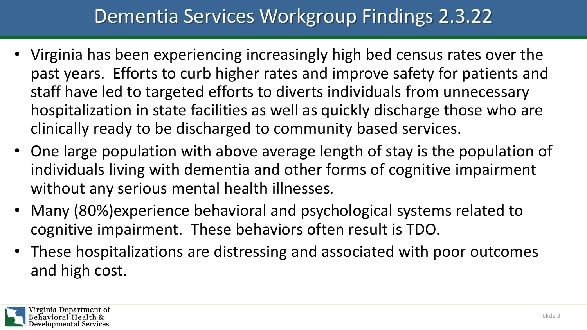# Dementia Services Workgroup Findings 2.3.22

- Virginia has been experiencing increasingly high bed census rates over the past years. Efforts to curb higher rates and improve safety for patients and staff have led to targeted efforts to diverts individuals from unnecessary hospitalization in state facilities as well as quickly discharge those who are clinically ready to be discharged to community based services.
- One large population with above average length of stay is the population of individuals living with dementia and other forms of cognitive impairment without any serious mental health illnesses.
- Many (80%)experience behavioral and psychological systems related to cognitive impairment. These behaviors often result is TDO.
- These hospitalizations are distressing and associated with poor outcomes and high cost.

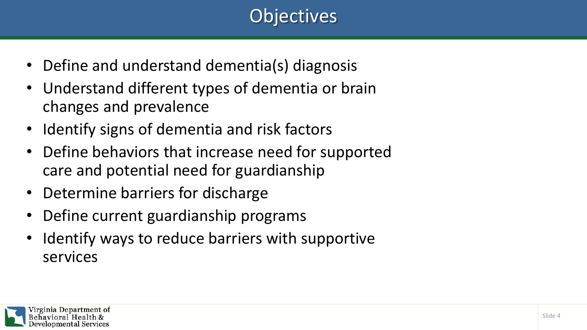# **Objectives**

- Define and understand dementia(s) diagnosis
- Understand different types of dementia or brain changes and prevalence
- Identify signs of dementia and risk factors
- Define behaviors that increase need for supported care and potential need for guardianship
- Determine barriers for discharge
- Define current guardianship programs
- I dentify ways to reduce barriers with supportive services

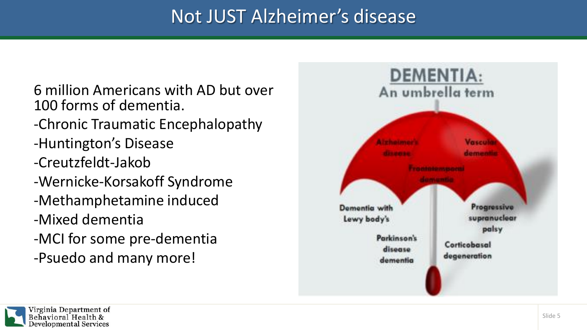# Not JUST Alzheimer's disease

- 6 million Americans with AD but over 100 forms of dementia.
- -Chronic Traumatic Encephalopathy
- -Huntington's Disease
- -Creutzfeldt-Jakob
- -Wernicke-Korsakoff Syndrome
- -Methamphetamine induced
- -Mixed dementia
- -MCI for some pre-dementia
- -Psuedo and many more!



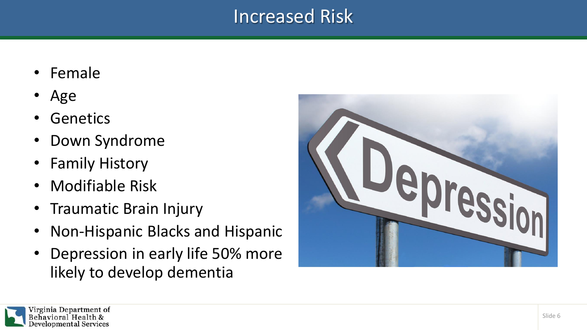#### Increased Risk

- Female
- Age
- Genetics
- Down Syndrome
- Family History
- Modifiable Risk
- Traumatic Brain Injury
- Non-Hispanic Blacks and Hispanic
- Depression in early life 50% more likely to develop dementia



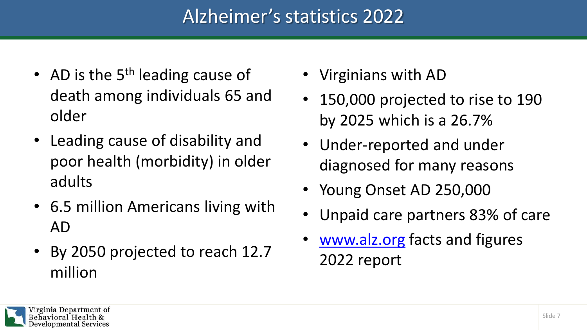# Alzheimer's statistics 2022

- AD is the  $5<sup>th</sup>$  leading cause of death among individuals 65 and older
- Leading cause of disability and poor health (morbidity) in older adults
- 6.5 million Americans living with AD
- By 2050 projected to reach 12.7 million
- Virginians with AD
- 150,000 projected to rise to 190 by 2025 which is a 26.7%
- Under-reported and under diagnosed for many reasons
- Young Onset AD 250,000
- Unpaid care partners 83% of care
- [www.alz.org](http://www.alz.org/) facts and figures 2022 report

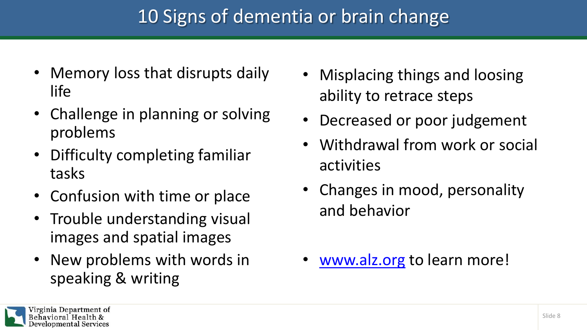# 10 Signs of dementia or brain change

- Memory loss that disrupts daily life
- Challenge in planning or solving problems
- Difficulty completing familiar tasks
- Confusion with time or place
- Trouble understanding visual images and spatial images
- New problems with words in speaking & writing
- Misplacing things and loosing ability to retrace steps
- Decreased or poor judgement
- Withdrawal from work or social activities
- Changes in mood, personality and behavior
- [www.alz.org](http://www.alz.org/) to learn more!

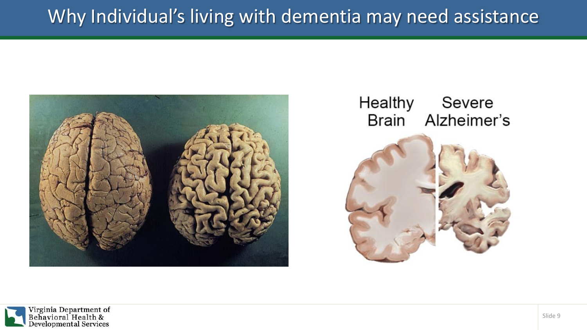# Why Individual's living with dementia may need assistance







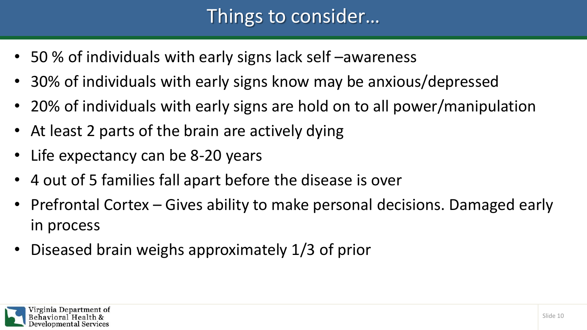# Things to consider…

- 50 % of individuals with early signs lack self –awareness
- 30% of individuals with early signs know may be anxious/depressed
- 20% of individuals with early signs are hold on to all power/manipulation
- At least 2 parts of the brain are actively dying
- Life expectancy can be 8-20 years
- 4 out of 5 families fall apart before the disease is over
- Prefrontal Cortex Gives ability to make personal decisions. Damaged early in process
- Diseased brain weighs approximately 1/3 of prior

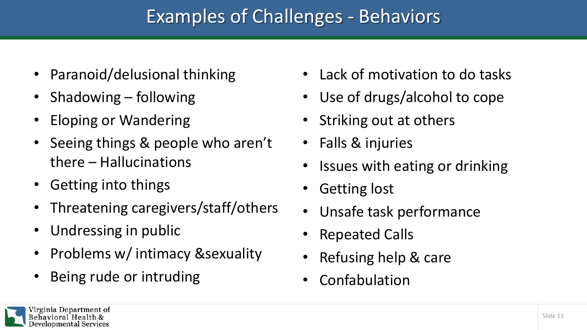# Examples of Challenges - Behaviors

- Paranoid/delusional thinking
- Shadowing following
- Eloping or Wandering
- Seeing things & people who aren't there – Hallucinations
- Getting into things
- Threatening caregivers/staff/others
- Undressing in public
- Problems w/ intimacy &sexuality
- Being rude or intruding
- Lack of motivation to do tasks
- Use of drugs/alcohol to cope
- Striking out at others
- Falls & injuries
- Issues with eating or drinking
- Getting lost
- Unsafe task performance
- Repeated Calls
- Refusing help & care
- **Confabulation**

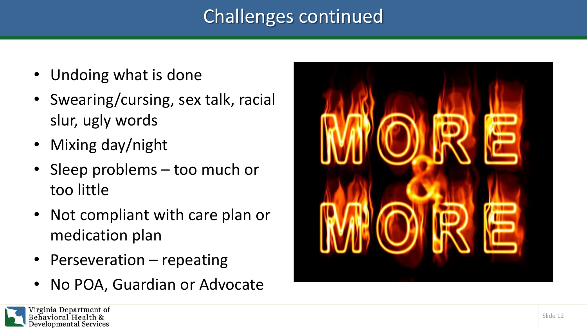# Challenges continued

- Undoing what is done
- Swearing/cursing, sex talk, racial slur, ugly words
- Mixing day/night
- Sleep problems too much or too little
- Not compliant with care plan or medication plan
- Perseveration repeating
- No POA, Guardian or Advocate



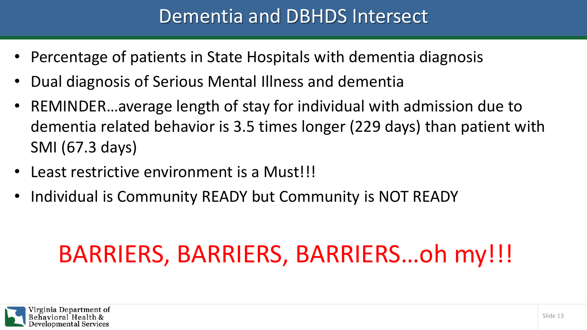### Dementia and DBHDS Intersect

- Percentage of patients in State Hospitals with dementia diagnosis
- Dual diagnosis of Serious Mental Illness and dementia
- REMINDER…average length of stay for individual with admission due to dementia related behavior is 3.5 times longer (229 days) than patient with SMI (67.3 days)
- Least restrictive environment is a Must!!!
- Individual is Community READY but Community is NOT READY

# BARRIERS, BARRIERS, BARRIERS…oh my!!!

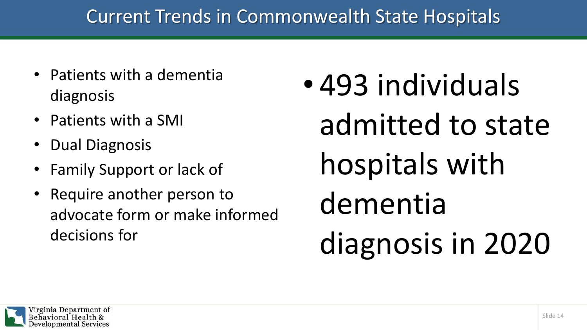# Current Trends in Commonwealth State Hospitals

- Patients with a dementia diagnosis
- Patients with a SMI
- Dual Diagnosis
- Family Support or lack of
- Require another person to advocate form or make informed decisions for
- 493 individuals admitted to state hospitals with dementia diagnosis in 2020

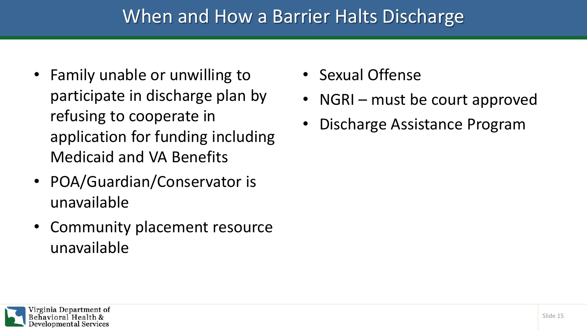#### When and How a Barrier Halts Discharge

- Family unable or unwilling to participate in discharge plan by refusing to cooperate in application for funding including Medicaid and VA Benefits
- POA/Guardian/Conservator is unavailable
- Community placement resource unavailable
- Sexual Offense
- NGRI must be court approved
- Discharge Assistance Program

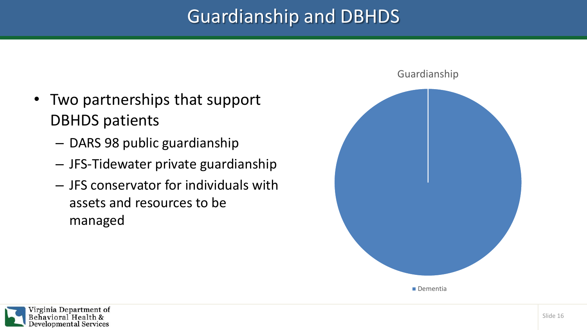# Guardianship and DBHDS

- Two partnerships that support DBHDS patients
	- DARS 98 public guardianship
	- JFS-Tidewater private guardianship
	- JFS conservator for individuals with assets and resources to be managed



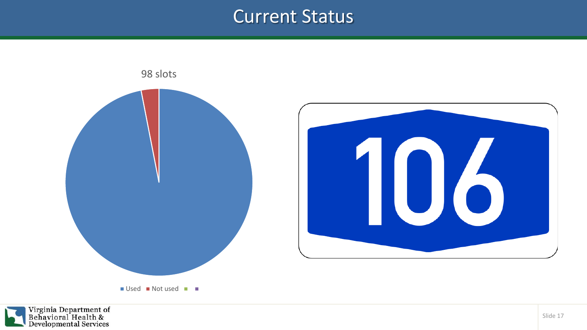#### Current Status



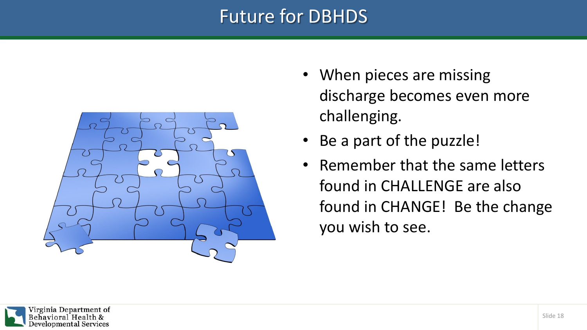### Future for DBHDS



- When pieces are missing discharge becomes even more challenging.
- Be a part of the puzzle!
- Remember that the same letters found in CHALLENGE are also found in CHANGE! Be the change you wish to see.

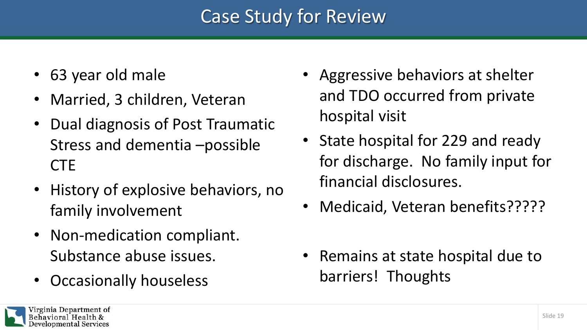# Case Study for Review

- 63 year old male
- Married, 3 children, Veteran
- Dual diagnosis of Post Traumatic Stress and dementia –possible **CTE**
- History of explosive behaviors, no family involvement
- Non-medication compliant. Substance abuse issues.
- Occasionally houseless
- Aggressive behaviors at shelter and TDO occurred from private hospital visit
- State hospital for 229 and ready for discharge. No family input for financial disclosures.
- Medicaid, Veteran benefits?????
- Remains at state hospital due to barriers! Thoughts

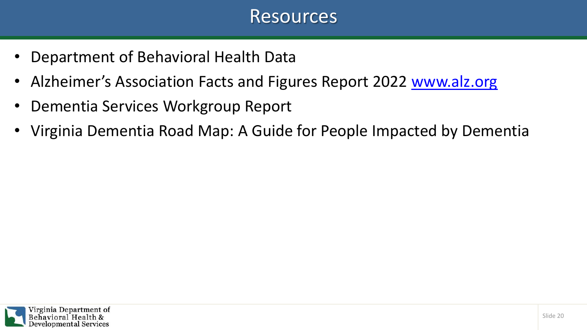#### Resources

- Department of Behavioral Health Data
- Alzheimer's Association Facts and Figures Report 2022 [www.alz.org](http://www.alz.org/)
- Dementia Services Workgroup Report
- Virginia Dementia Road Map: A Guide for People Impacted by Dementia

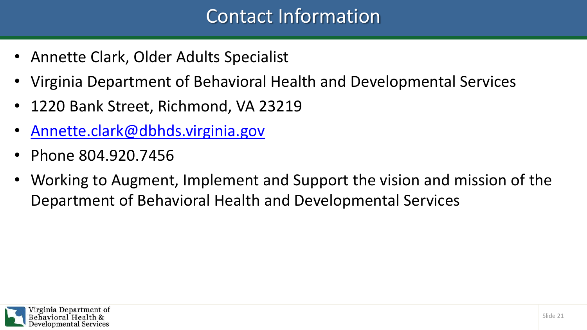# Contact Information

- Annette Clark, Older Adults Specialist
- Virginia Department of Behavioral Health and Developmental Services
- 1220 Bank Street, Richmond, VA 23219
- [Annette.clark@dbhds.virginia.gov](mailto:Annette.clark@dbhds.virginia.gov)
- Phone 804.920.7456
- Working to Augment, Implement and Support the vision and mission of the Department of Behavioral Health and Developmental Services